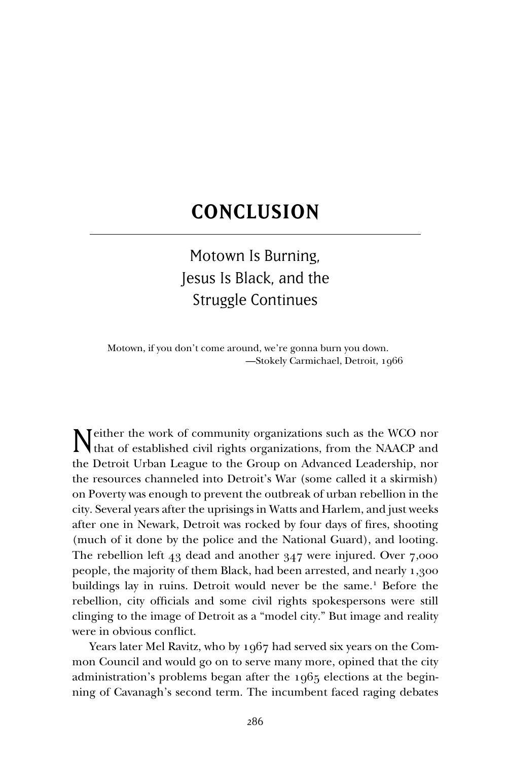## **CONCLUSION**

Motown Is Burning, Jesus Is Black, and the Struggle Continues

Motown, if you don't come around, we're gonna burn you down. —Stokely Carmichael, Detroit, 1966

Neither the work of community organizations such as the WCO nor that of established civil rights organizations, from the NAACP and the Detroit Urban League to the Group on Advanced Leadership, nor the resources channeled into Detroit's War (some called it a skirmish) on Poverty was enough to prevent the outbreak of urban rebellion in the city. Several years after the uprisings in Watts and Harlem, and just weeks after one in Newark, Detroit was rocked by four days of fires, shooting (much of it done by the police and the National Guard), and looting. The rebellion left 43 dead and another 347 were injured. Over 7,000 people, the majority of them Black, had been arrested, and nearly 1,300 buildings lay in ruins. Detroit would never be the same.<sup>1</sup> Before the rebellion, city officials and some civil rights spokespersons were still clinging to the image of Detroit as a "model city." But image and reality were in obvious conflict.

Years later Mel Ravitz, who by 1967 had served six years on the Common Council and would go on to serve many more, opined that the city administration's problems began after the 1965 elections at the beginning of Cavanagh's second term. The incumbent faced raging debates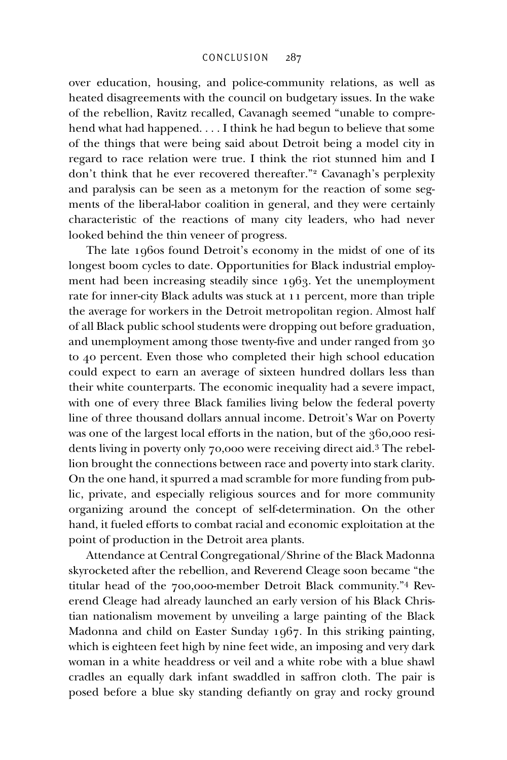over education, housing, and police-community relations, as well as heated disagreements with the council on budgetary issues. In the wake of the rebellion, Ravitz recalled, Cavanagh seemed "unable to comprehend what had happened. . . . I think he had begun to believe that some of the things that were being said about Detroit being a model city in regard to race relation were true. I think the riot stunned him and I don't think that he ever recovered thereafter."<sup>2</sup> Cavanagh's perplexity and paralysis can be seen as a metonym for the reaction of some segments of the liberal-labor coalition in general, and they were certainly characteristic of the reactions of many city leaders, who had never looked behind the thin veneer of progress.

The late 1960s found Detroit's economy in the midst of one of its longest boom cycles to date. Opportunities for Black industrial employment had been increasing steadily since 1963. Yet the unemployment rate for inner-city Black adults was stuck at 11 percent, more than triple the average for workers in the Detroit metropolitan region. Almost half of all Black public school students were dropping out before graduation, and unemployment among those twenty-five and under ranged from 30 to 40 percent. Even those who completed their high school education could expect to earn an average of sixteen hundred dollars less than their white counterparts. The economic inequality had a severe impact, with one of every three Black families living below the federal poverty line of three thousand dollars annual income. Detroit's War on Poverty was one of the largest local efforts in the nation, but of the 360,000 residents living in poverty only 70,000 were receiving direct aid.3 The rebellion brought the connections between race and poverty into stark clarity. On the one hand, it spurred a mad scramble for more funding from public, private, and especially religious sources and for more community organizing around the concept of self-determination. On the other hand, it fueled efforts to combat racial and economic exploitation at the point of production in the Detroit area plants.

Attendance at Central Congregational/Shrine of the Black Madonna skyrocketed after the rebellion, and Reverend Cleage soon became "the titular head of the 700,000-member Detroit Black community."4 Reverend Cleage had already launched an early version of his Black Christian nationalism movement by unveiling a large painting of the Black Madonna and child on Easter Sunday 1967. In this striking painting, which is eighteen feet high by nine feet wide, an imposing and very dark woman in a white headdress or veil and a white robe with a blue shawl cradles an equally dark infant swaddled in saffron cloth. The pair is posed before a blue sky standing defiantly on gray and rocky ground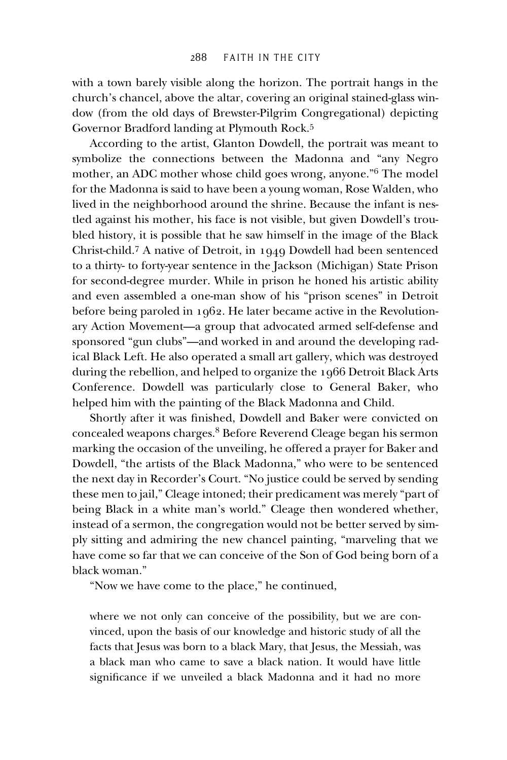with a town barely visible along the horizon. The portrait hangs in the church's chancel, above the altar, covering an original stained-glass window (from the old days of Brewster-Pilgrim Congregational) depicting Governor Bradford landing at Plymouth Rock.<sup>5</sup>

According to the artist, Glanton Dowdell, the portrait was meant to symbolize the connections between the Madonna and "any Negro mother, an ADC mother whose child goes wrong, anyone."6 The model for the Madonna is said to have been a young woman, Rose Walden, who lived in the neighborhood around the shrine. Because the infant is nestled against his mother, his face is not visible, but given Dowdell's troubled history, it is possible that he saw himself in the image of the Black Christ-child.<sup>7</sup> A native of Detroit, in 1949 Dowdell had been sentenced to a thirty- to forty-year sentence in the Jackson (Michigan) State Prison for second-degree murder. While in prison he honed his artistic ability and even assembled a one-man show of his "prison scenes" in Detroit before being paroled in 1962. He later became active in the Revolutionary Action Movement—a group that advocated armed self-defense and sponsored "gun clubs"—and worked in and around the developing radical Black Left. He also operated a small art gallery, which was destroyed during the rebellion, and helped to organize the 1966 Detroit Black Arts Conference. Dowdell was particularly close to General Baker, who helped him with the painting of the Black Madonna and Child.

Shortly after it was finished, Dowdell and Baker were convicted on concealed weapons charges.8 Before Reverend Cleage began his sermon marking the occasion of the unveiling, he offered a prayer for Baker and Dowdell, "the artists of the Black Madonna," who were to be sentenced the next day in Recorder's Court. "No justice could be served by sending these men to jail," Cleage intoned; their predicament was merely "part of being Black in a white man's world." Cleage then wondered whether, instead of a sermon, the congregation would not be better served by simply sitting and admiring the new chancel painting, "marveling that we have come so far that we can conceive of the Son of God being born of a black woman."

"Now we have come to the place," he continued,

where we not only can conceive of the possibility, but we are convinced, upon the basis of our knowledge and historic study of all the facts that Jesus was born to a black Mary, that Jesus, the Messiah, was a black man who came to save a black nation. It would have little significance if we unveiled a black Madonna and it had no more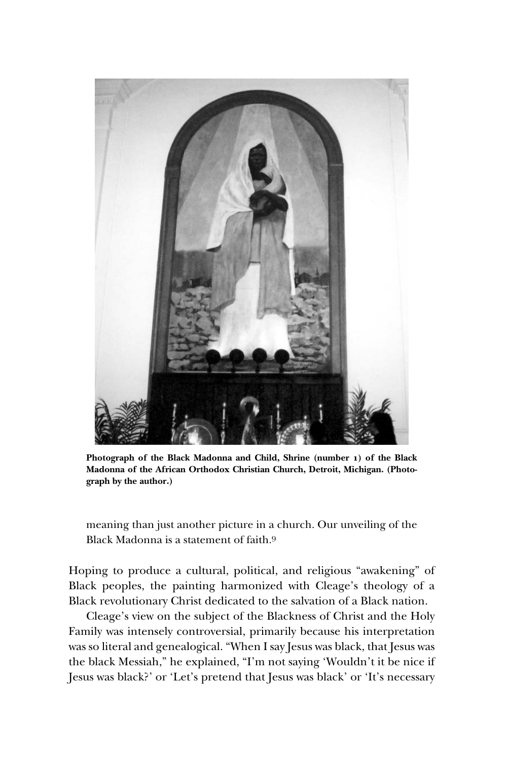

**Photograph of the Black Madonna and Child, Shrine (number 1) of the Black Madonna of the African Orthodox Christian Church, Detroit, Michigan. (Photograph by the author.)**

meaning than just another picture in a church. Our unveiling of the Black Madonna is a statement of faith.9

Hoping to produce a cultural, political, and religious "awakening" of Black peoples, the painting harmonized with Cleage's theology of a Black revolutionary Christ dedicated to the salvation of a Black nation.

Cleage's view on the subject of the Blackness of Christ and the Holy Family was intensely controversial, primarily because his interpretation was so literal and genealogical. "When I say Jesus was black, that Jesus was the black Messiah," he explained, "I'm not saying 'Wouldn't it be nice if Jesus was black?' or 'Let's pretend that Jesus was black' or 'It's necessary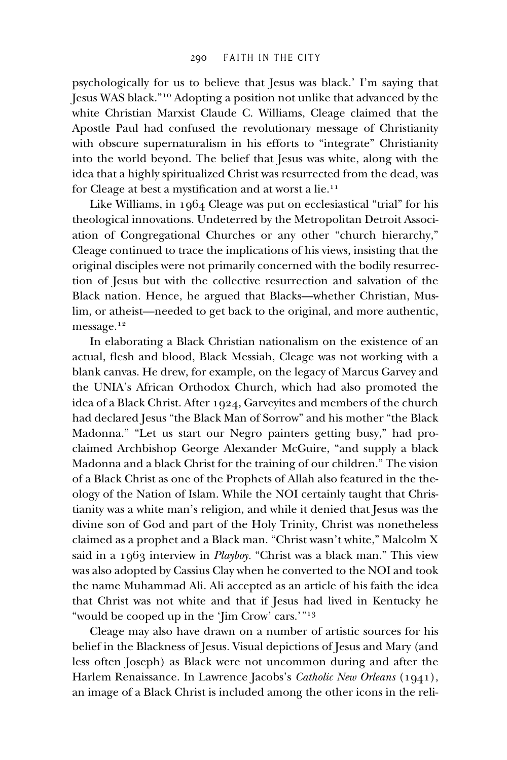psychologically for us to believe that Jesus was black.' I'm saying that Jesus WAS black."<sup>10</sup> Adopting a position not unlike that advanced by the white Christian Marxist Claude C. Williams, Cleage claimed that the Apostle Paul had confused the revolutionary message of Christianity with obscure supernaturalism in his efforts to "integrate" Christianity into the world beyond. The belief that Jesus was white, along with the idea that a highly spiritualized Christ was resurrected from the dead, was for Cleage at best a mystification and at worst a lie.<sup>11</sup>

Like Williams, in 1964 Cleage was put on ecclesiastical "trial" for his theological innovations. Undeterred by the Metropolitan Detroit Association of Congregational Churches or any other "church hierarchy," Cleage continued to trace the implications of his views, insisting that the original disciples were not primarily concerned with the bodily resurrection of Jesus but with the collective resurrection and salvation of the Black nation. Hence, he argued that Blacks—whether Christian, Muslim, or atheist—needed to get back to the original, and more authentic, message.<sup>12</sup>

In elaborating a Black Christian nationalism on the existence of an actual, flesh and blood, Black Messiah, Cleage was not working with a blank canvas. He drew, for example, on the legacy of Marcus Garvey and the UNIA's African Orthodox Church, which had also promoted the idea of a Black Christ. After 1924, Garveyites and members of the church had declared Jesus "the Black Man of Sorrow" and his mother "the Black Madonna." "Let us start our Negro painters getting busy," had proclaimed Archbishop George Alexander McGuire, "and supply a black Madonna and a black Christ for the training of our children." The vision of a Black Christ as one of the Prophets of Allah also featured in the theology of the Nation of Islam. While the NOI certainly taught that Christianity was a white man's religion, and while it denied that Jesus was the divine son of God and part of the Holy Trinity, Christ was nonetheless claimed as a prophet and a Black man. "Christ wasn't white," Malcolm X said in a 1963 interview in *Playboy*. "Christ was a black man." This view was also adopted by Cassius Clay when he converted to the NOI and took the name Muhammad Ali. Ali accepted as an article of his faith the idea that Christ was not white and that if Jesus had lived in Kentucky he "would be cooped up in the 'Jim Crow' cars.'"<sup>13</sup>

Cleage may also have drawn on a number of artistic sources for his belief in the Blackness of Jesus. Visual depictions of Jesus and Mary (and less often Joseph) as Black were not uncommon during and after the Harlem Renaissance. In Lawrence Jacobs's *Catholic New Orleans* (1941), an image of a Black Christ is included among the other icons in the reli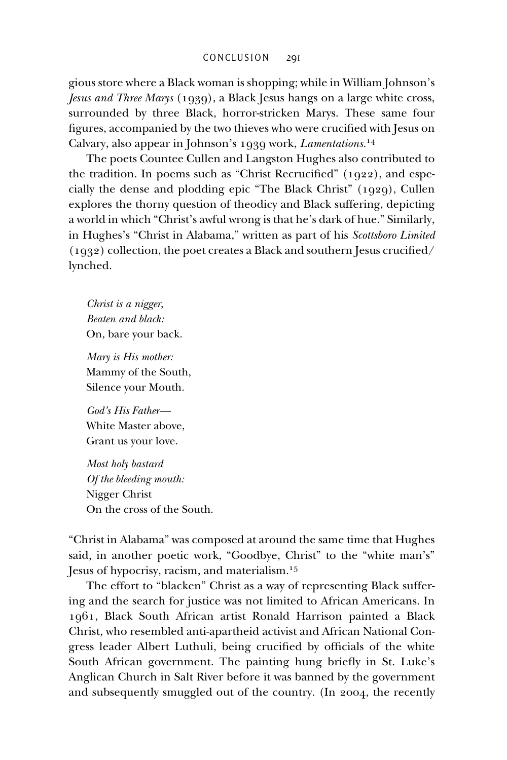gious store where a Black woman is shopping; while in William Johnson's *Jesus and Three Marys* (1939), a Black Jesus hangs on a large white cross, surrounded by three Black, horror-stricken Marys. These same four figures, accompanied by the two thieves who were crucified with Jesus on Calvary, also appear in Johnson's 1939 work, *Lamentations.*<sup>14</sup>

The poets Countee Cullen and Langston Hughes also contributed to the tradition. In poems such as "Christ Recrucified"  $(1922)$ , and especially the dense and plodding epic "The Black Christ" (1929), Cullen explores the thorny question of theodicy and Black suffering, depicting a world in which "Christ's awful wrong is that he's dark of hue." Similarly, in Hughes's "Christ in Alabama," written as part of his *Scottsboro Limited*  $(1932)$  collection, the poet creates a Black and southern Jesus crucified/ lynched.

*Christ is a nigger, Beaten and black:* On, bare your back.

*Mary is His mother:* Mammy of the South, Silence your Mouth.

*God's His Father—* White Master above, Grant us your love.

*Most holy bastard Of the bleeding mouth:* Nigger Christ On the cross of the South.

"Christ in Alabama" was composed at around the same time that Hughes said, in another poetic work, "Goodbye, Christ" to the "white man's" Jesus of hypocrisy, racism, and materialism.15

The effort to "blacken" Christ as a way of representing Black suffering and the search for justice was not limited to African Americans. In 1961, Black South African artist Ronald Harrison painted a Black Christ, who resembled anti-apartheid activist and African National Congress leader Albert Luthuli, being crucified by officials of the white South African government. The painting hung briefly in St. Luke's Anglican Church in Salt River before it was banned by the government and subsequently smuggled out of the country. (In 2004, the recently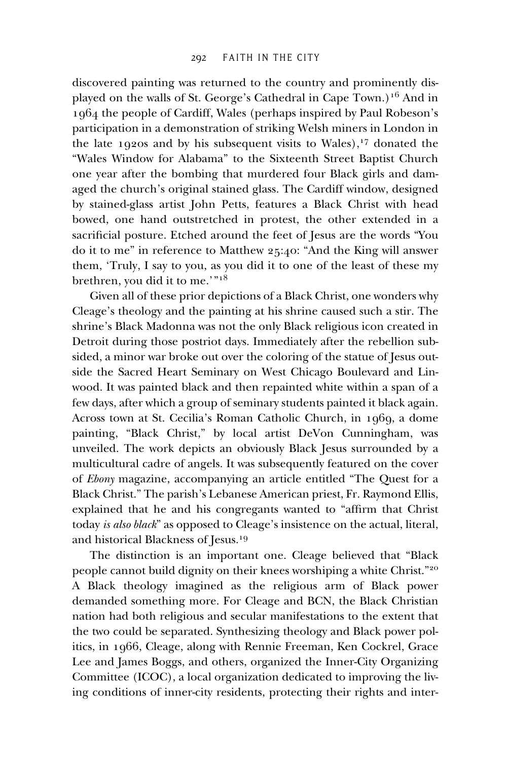discovered painting was returned to the country and prominently displayed on the walls of St. George's Cathedral in Cape Town.)<sup>16</sup> And in 1964 the people of Cardiff, Wales (perhaps inspired by Paul Robeson's participation in a demonstration of striking Welsh miners in London in the late 1920s and by his subsequent visits to Wales),<sup>17</sup> donated the "Wales Window for Alabama" to the Sixteenth Street Baptist Church one year after the bombing that murdered four Black girls and damaged the church's original stained glass. The Cardiff window, designed by stained-glass artist John Petts, features a Black Christ with head bowed, one hand outstretched in protest, the other extended in a sacrificial posture. Etched around the feet of Jesus are the words "You do it to me" in reference to Matthew 25:40: "And the King will answer them, 'Truly, I say to you, as you did it to one of the least of these my brethren, you did it to me.'"<sup>18</sup>

Given all of these prior depictions of a Black Christ, one wonders why Cleage's theology and the painting at his shrine caused such a stir. The shrine's Black Madonna was not the only Black religious icon created in Detroit during those postriot days. Immediately after the rebellion subsided, a minor war broke out over the coloring of the statue of Jesus outside the Sacred Heart Seminary on West Chicago Boulevard and Linwood. It was painted black and then repainted white within a span of a few days, after which a group of seminary students painted it black again. Across town at St. Cecilia's Roman Catholic Church, in 1969, a dome painting, "Black Christ," by local artist DeVon Cunningham, was unveiled. The work depicts an obviously Black Jesus surrounded by a multicultural cadre of angels. It was subsequently featured on the cover of *Ebony* magazine, accompanying an article entitled "The Quest for a Black Christ." The parish's Lebanese American priest, Fr. Raymond Ellis, explained that he and his congregants wanted to "affirm that Christ today *is also black*" as opposed to Cleage's insistence on the actual, literal, and historical Blackness of Jesus.19

The distinction is an important one. Cleage believed that "Black people cannot build dignity on their knees worshiping a white Christ."<sup>20</sup> A Black theology imagined as the religious arm of Black power demanded something more. For Cleage and BCN, the Black Christian nation had both religious and secular manifestations to the extent that the two could be separated. Synthesizing theology and Black power politics, in 1966, Cleage, along with Rennie Freeman, Ken Cockrel, Grace Lee and James Boggs, and others, organized the Inner-City Organizing Committee (ICOC), a local organization dedicated to improving the living conditions of inner-city residents, protecting their rights and inter-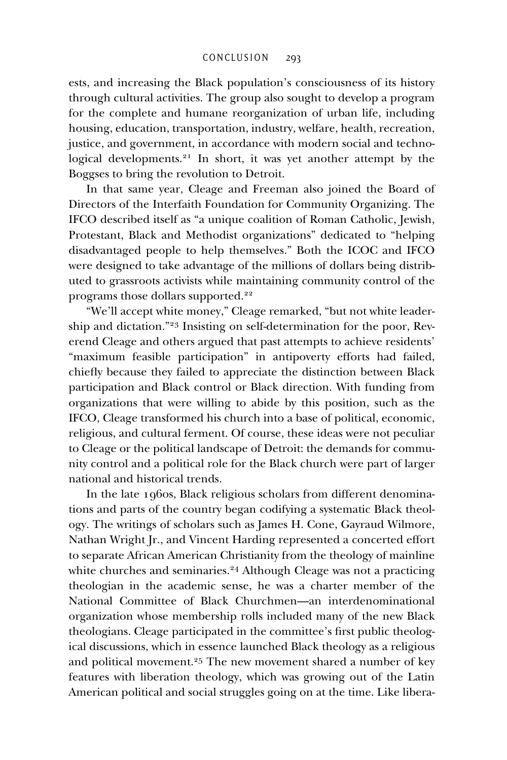ests, and increasing the Black population's consciousness of its history through cultural activities. The group also sought to develop a program for the complete and humane reorganization of urban life, including housing, education, transportation, industry, welfare, health, recreation, justice, and government, in accordance with modern social and technological developments.21 In short, it was yet another attempt by the Boggses to bring the revolution to Detroit.

In that same year, Cleage and Freeman also joined the Board of Directors of the Interfaith Foundation for Community Organizing. The IFCO described itself as "a unique coalition of Roman Catholic, Jewish, Protestant, Black and Methodist organizations" dedicated to "helping disadvantaged people to help themselves." Both the ICOC and IFCO were designed to take advantage of the millions of dollars being distributed to grassroots activists while maintaining community control of the programs those dollars supported.<sup>22</sup>

"We'll accept white money," Cleage remarked, "but not white leadership and dictation."<sup>23</sup> Insisting on self-determination for the poor, Reverend Cleage and others argued that past attempts to achieve residents' "maximum feasible participation" in antipoverty efforts had failed, chiefly because they failed to appreciate the distinction between Black participation and Black control or Black direction. With funding from organizations that were willing to abide by this position, such as the IFCO, Cleage transformed his church into a base of political, economic, religious, and cultural ferment. Of course, these ideas were not peculiar to Cleage or the political landscape of Detroit: the demands for community control and a political role for the Black church were part of larger national and historical trends.

In the late 1960s, Black religious scholars from different denominations and parts of the country began codifying a systematic Black theology. The writings of scholars such as James H. Cone, Gayraud Wilmore, Nathan Wright Jr., and Vincent Harding represented a concerted effort to separate African American Christianity from the theology of mainline white churches and seminaries.<sup>24</sup> Although Cleage was not a practicing theologian in the academic sense, he was a charter member of the National Committee of Black Churchmen—an interdenominational organization whose membership rolls included many of the new Black theologians. Cleage participated in the committee's first public theological discussions, which in essence launched Black theology as a religious and political movement.<sup>25</sup> The new movement shared a number of key features with liberation theology, which was growing out of the Latin American political and social struggles going on at the time. Like libera-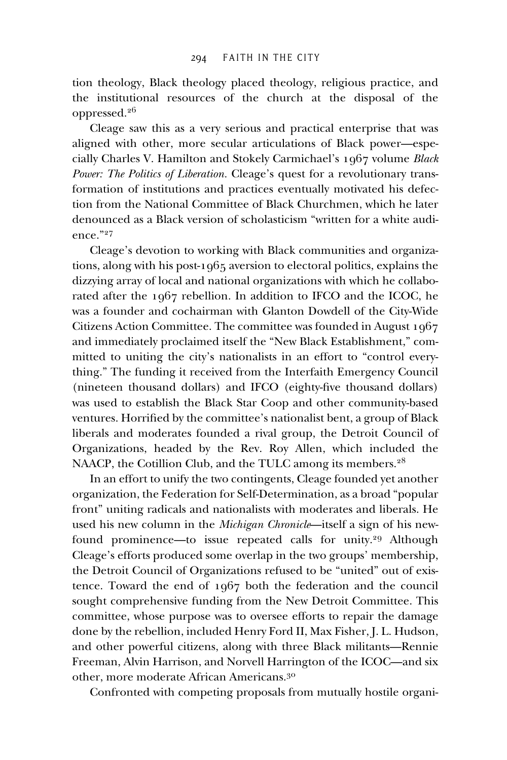tion theology, Black theology placed theology, religious practice, and the institutional resources of the church at the disposal of the oppressed.26

Cleage saw this as a very serious and practical enterprise that was aligned with other, more secular articulations of Black power—especially Charles V. Hamilton and Stokely Carmichael's 1967 volume *Black Power: The Politics of Liberation.* Cleage's quest for a revolutionary transformation of institutions and practices eventually motivated his defection from the National Committee of Black Churchmen, which he later denounced as a Black version of scholasticism "written for a white audience."27

Cleage's devotion to working with Black communities and organizations, along with his post-1965 aversion to electoral politics, explains the dizzying array of local and national organizations with which he collaborated after the 1967 rebellion. In addition to IFCO and the ICOC, he was a founder and cochairman with Glanton Dowdell of the City-Wide Citizens Action Committee. The committee was founded in August 1967 and immediately proclaimed itself the "New Black Establishment," committed to uniting the city's nationalists in an effort to "control everything." The funding it received from the Interfaith Emergency Council (nineteen thousand dollars) and IFCO (eighty-five thousand dollars) was used to establish the Black Star Coop and other community-based ventures. Horrified by the committee's nationalist bent, a group of Black liberals and moderates founded a rival group, the Detroit Council of Organizations, headed by the Rev. Roy Allen, which included the NAACP, the Cotillion Club, and the TULC among its members.<sup>28</sup>

In an effort to unify the two contingents, Cleage founded yet another organization, the Federation for Self-Determination, as a broad "popular front" uniting radicals and nationalists with moderates and liberals. He used his new column in the *Michigan Chronicle*—itself a sign of his newfound prominence—to issue repeated calls for unity.<sup>29</sup> Although Cleage's efforts produced some overlap in the two groups' membership, the Detroit Council of Organizations refused to be "united" out of existence. Toward the end of 1967 both the federation and the council sought comprehensive funding from the New Detroit Committee. This committee, whose purpose was to oversee efforts to repair the damage done by the rebellion, included Henry Ford II, Max Fisher, J. L. Hudson, and other powerful citizens, along with three Black militants—Rennie Freeman, Alvin Harrison, and Norvell Harrington of the ICOC—and six other, more moderate African Americans.30

Confronted with competing proposals from mutually hostile organi-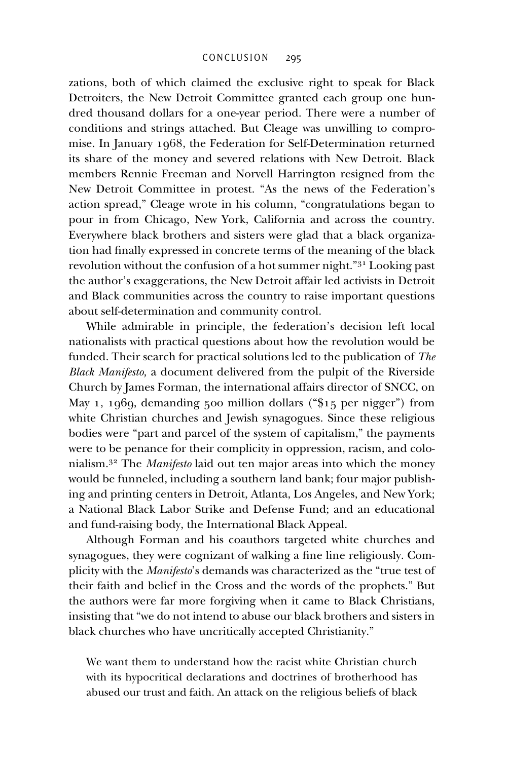zations, both of which claimed the exclusive right to speak for Black Detroiters, the New Detroit Committee granted each group one hundred thousand dollars for a one-year period. There were a number of conditions and strings attached. But Cleage was unwilling to compromise. In January 1968, the Federation for Self-Determination returned its share of the money and severed relations with New Detroit. Black members Rennie Freeman and Norvell Harrington resigned from the New Detroit Committee in protest. "As the news of the Federation's action spread," Cleage wrote in his column, "congratulations began to pour in from Chicago, New York, California and across the country. Everywhere black brothers and sisters were glad that a black organization had finally expressed in concrete terms of the meaning of the black revolution without the confusion of a hot summer night."<sup>31</sup> Looking past the author's exaggerations, the New Detroit affair led activists in Detroit and Black communities across the country to raise important questions about self-determination and community control.

While admirable in principle, the federation's decision left local nationalists with practical questions about how the revolution would be funded. Their search for practical solutions led to the publication of *The Black Manifesto,* a document delivered from the pulpit of the Riverside Church by James Forman, the international affairs director of SNCC, on May 1, 1969, demanding 500 million dollars ("\$15 per nigger") from white Christian churches and Jewish synagogues. Since these religious bodies were "part and parcel of the system of capitalism," the payments were to be penance for their complicity in oppression, racism, and colonialism.<sup>32</sup> The *Manifesto* laid out ten major areas into which the money would be funneled, including a southern land bank; four major publishing and printing centers in Detroit, Atlanta, Los Angeles, and New York; a National Black Labor Strike and Defense Fund; and an educational and fund-raising body, the International Black Appeal.

Although Forman and his coauthors targeted white churches and synagogues, they were cognizant of walking a fine line religiously. Complicity with the *Manifesto*'s demands was characterized as the "true test of their faith and belief in the Cross and the words of the prophets." But the authors were far more forgiving when it came to Black Christians, insisting that "we do not intend to abuse our black brothers and sisters in black churches who have uncritically accepted Christianity."

We want them to understand how the racist white Christian church with its hypocritical declarations and doctrines of brotherhood has abused our trust and faith. An attack on the religious beliefs of black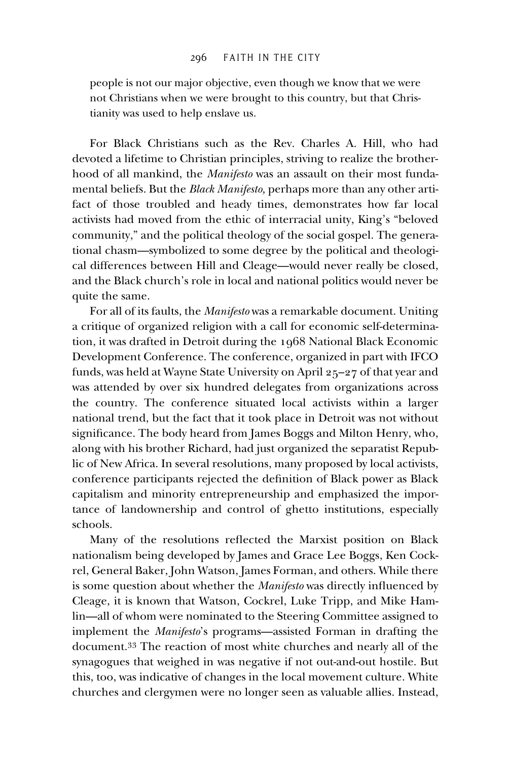people is not our major objective, even though we know that we were not Christians when we were brought to this country, but that Christianity was used to help enslave us.

For Black Christians such as the Rev. Charles A. Hill, who had devoted a lifetime to Christian principles, striving to realize the brotherhood of all mankind, the *Manifesto* was an assault on their most fundamental beliefs. But the *Black Manifesto,* perhaps more than any other artifact of those troubled and heady times, demonstrates how far local activists had moved from the ethic of interracial unity, King's "beloved community," and the political theology of the social gospel. The generational chasm—symbolized to some degree by the political and theological differences between Hill and Cleage—would never really be closed, and the Black church's role in local and national politics would never be quite the same.

For all of its faults, the *Manifesto* was a remarkable document. Uniting a critique of organized religion with a call for economic self-determination, it was drafted in Detroit during the 1968 National Black Economic Development Conference. The conference, organized in part with IFCO funds, was held at Wayne State University on April 25–27 of that year and was attended by over six hundred delegates from organizations across the country. The conference situated local activists within a larger national trend, but the fact that it took place in Detroit was not without significance. The body heard from James Boggs and Milton Henry, who, along with his brother Richard, had just organized the separatist Republic of New Africa. In several resolutions, many proposed by local activists, conference participants rejected the definition of Black power as Black capitalism and minority entrepreneurship and emphasized the importance of landownership and control of ghetto institutions, especially schools.

Many of the resolutions reflected the Marxist position on Black nationalism being developed by James and Grace Lee Boggs, Ken Cockrel, General Baker, John Watson, James Forman, and others. While there is some question about whether the *Manifesto* was directly influenced by Cleage, it is known that Watson, Cockrel, Luke Tripp, and Mike Hamlin—all of whom were nominated to the Steering Committee assigned to implement the *Manifesto*'s programs—assisted Forman in drafting the document.33 The reaction of most white churches and nearly all of the synagogues that weighed in was negative if not out-and-out hostile. But this, too, was indicative of changes in the local movement culture. White churches and clergymen were no longer seen as valuable allies. Instead,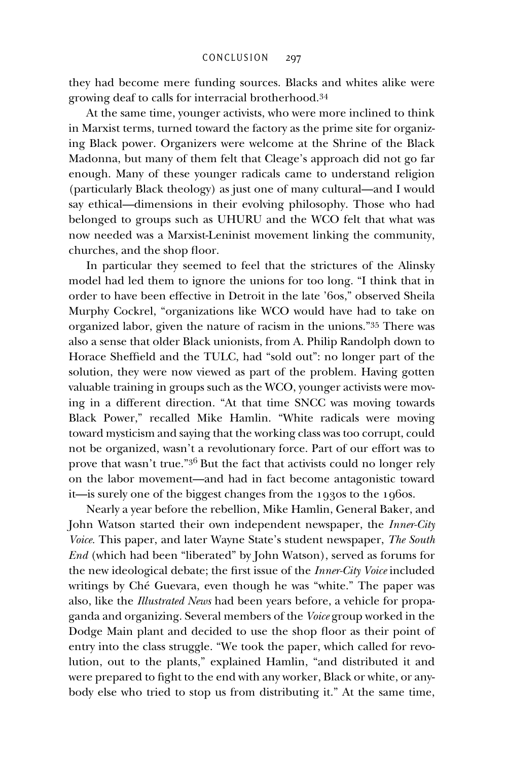they had become mere funding sources. Blacks and whites alike were growing deaf to calls for interracial brotherhood.<sup>34</sup>

At the same time, younger activists, who were more inclined to think in Marxist terms, turned toward the factory as the prime site for organizing Black power. Organizers were welcome at the Shrine of the Black Madonna, but many of them felt that Cleage's approach did not go far enough. Many of these younger radicals came to understand religion (particularly Black theology) as just one of many cultural—and I would say ethical—dimensions in their evolving philosophy. Those who had belonged to groups such as UHURU and the WCO felt that what was now needed was a Marxist-Leninist movement linking the community, churches, and the shop floor.

In particular they seemed to feel that the strictures of the Alinsky model had led them to ignore the unions for too long. "I think that in order to have been effective in Detroit in the late '60s," observed Sheila Murphy Cockrel, "organizations like WCO would have had to take on organized labor, given the nature of racism in the unions."35 There was also a sense that older Black unionists, from A. Philip Randolph down to Horace Sheffield and the TULC, had "sold out": no longer part of the solution, they were now viewed as part of the problem. Having gotten valuable training in groups such as the WCO, younger activists were moving in a different direction. "At that time SNCC was moving towards Black Power," recalled Mike Hamlin. "White radicals were moving toward mysticism and saying that the working class was too corrupt, could not be organized, wasn't a revolutionary force. Part of our effort was to prove that wasn't true."36 But the fact that activists could no longer rely on the labor movement—and had in fact become antagonistic toward it—is surely one of the biggest changes from the 1930s to the 1960s.

Nearly a year before the rebellion, Mike Hamlin, General Baker, and John Watson started their own independent newspaper, the *Inner-City Voice.* This paper, and later Wayne State's student newspaper, *The South End* (which had been "liberated" by John Watson), served as forums for the new ideological debate; the first issue of the *Inner-City Voice* included writings by Ché Guevara, even though he was "white." The paper was also, like the *Illustrated News* had been years before, a vehicle for propaganda and organizing. Several members of the *Voice* group worked in the Dodge Main plant and decided to use the shop floor as their point of entry into the class struggle. "We took the paper, which called for revolution, out to the plants," explained Hamlin, "and distributed it and were prepared to fight to the end with any worker, Black or white, or anybody else who tried to stop us from distributing it." At the same time,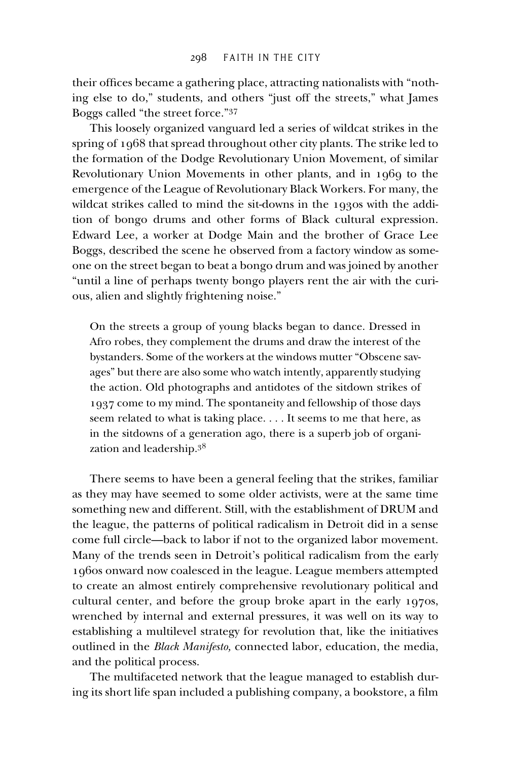their offices became a gathering place, attracting nationalists with "nothing else to do," students, and others "just off the streets," what James Boggs called "the street force."37

This loosely organized vanguard led a series of wildcat strikes in the spring of 1968 that spread throughout other city plants. The strike led to the formation of the Dodge Revolutionary Union Movement, of similar Revolutionary Union Movements in other plants, and in 1969 to the emergence of the League of Revolutionary Black Workers. For many, the wildcat strikes called to mind the sit-downs in the 1930s with the addition of bongo drums and other forms of Black cultural expression. Edward Lee, a worker at Dodge Main and the brother of Grace Lee Boggs, described the scene he observed from a factory window as someone on the street began to beat a bongo drum and was joined by another "until a line of perhaps twenty bongo players rent the air with the curious, alien and slightly frightening noise."

On the streets a group of young blacks began to dance. Dressed in Afro robes, they complement the drums and draw the interest of the bystanders. Some of the workers at the windows mutter "Obscene savages" but there are also some who watch intently, apparently studying the action. Old photographs and antidotes of the sitdown strikes of 1937 come to my mind. The spontaneity and fellowship of those days seem related to what is taking place. . . . It seems to me that here, as in the sitdowns of a generation ago, there is a superb job of organization and leadership.38

There seems to have been a general feeling that the strikes, familiar as they may have seemed to some older activists, were at the same time something new and different. Still, with the establishment of DRUM and the league, the patterns of political radicalism in Detroit did in a sense come full circle—back to labor if not to the organized labor movement. Many of the trends seen in Detroit's political radicalism from the early 1960s onward now coalesced in the league. League members attempted to create an almost entirely comprehensive revolutionary political and cultural center, and before the group broke apart in the early 1970s, wrenched by internal and external pressures, it was well on its way to establishing a multilevel strategy for revolution that, like the initiatives outlined in the *Black Manifesto,* connected labor, education, the media, and the political process.

The multifaceted network that the league managed to establish during its short life span included a publishing company, a bookstore, a film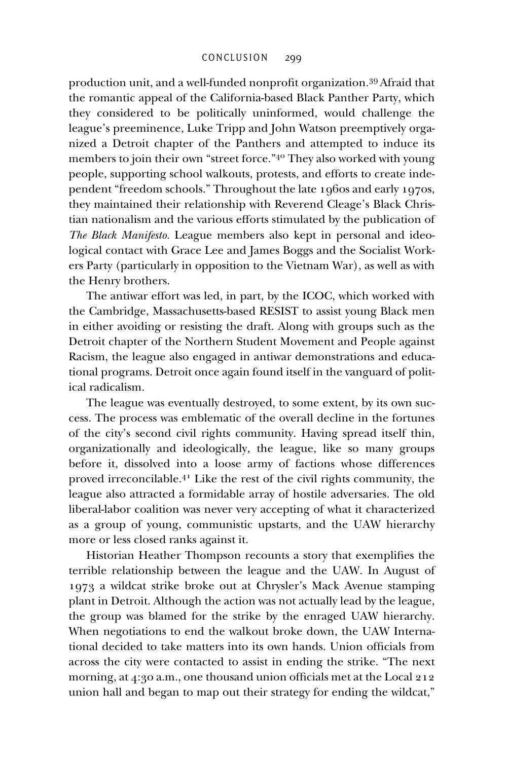production unit, and a well-funded nonprofit organization.<sup>39</sup> Afraid that the romantic appeal of the California-based Black Panther Party, which they considered to be politically uninformed, would challenge the league's preeminence, Luke Tripp and John Watson preemptively organized a Detroit chapter of the Panthers and attempted to induce its members to join their own "street force."40 They also worked with young people, supporting school walkouts, protests, and efforts to create independent "freedom schools." Throughout the late 1960s and early 1970s, they maintained their relationship with Reverend Cleage's Black Christian nationalism and the various efforts stimulated by the publication of *The Black Manifesto.* League members also kept in personal and ideological contact with Grace Lee and James Boggs and the Socialist Workers Party (particularly in opposition to the Vietnam War), as well as with the Henry brothers.

The antiwar effort was led, in part, by the ICOC, which worked with the Cambridge, Massachusetts-based RESIST to assist young Black men in either avoiding or resisting the draft. Along with groups such as the Detroit chapter of the Northern Student Movement and People against Racism, the league also engaged in antiwar demonstrations and educational programs. Detroit once again found itself in the vanguard of political radicalism.

The league was eventually destroyed, to some extent, by its own success. The process was emblematic of the overall decline in the fortunes of the city's second civil rights community. Having spread itself thin, organizationally and ideologically, the league, like so many groups before it, dissolved into a loose army of factions whose differences proved irreconcilable.41 Like the rest of the civil rights community, the league also attracted a formidable array of hostile adversaries. The old liberal-labor coalition was never very accepting of what it characterized as a group of young, communistic upstarts, and the UAW hierarchy more or less closed ranks against it.

Historian Heather Thompson recounts a story that exemplifies the terrible relationship between the league and the UAW. In August of 1973 a wildcat strike broke out at Chrysler's Mack Avenue stamping plant in Detroit. Although the action was not actually lead by the league, the group was blamed for the strike by the enraged UAW hierarchy. When negotiations to end the walkout broke down, the UAW International decided to take matters into its own hands. Union officials from across the city were contacted to assist in ending the strike. "The next morning, at 4:30 a.m., one thousand union officials met at the Local 212 union hall and began to map out their strategy for ending the wildcat,"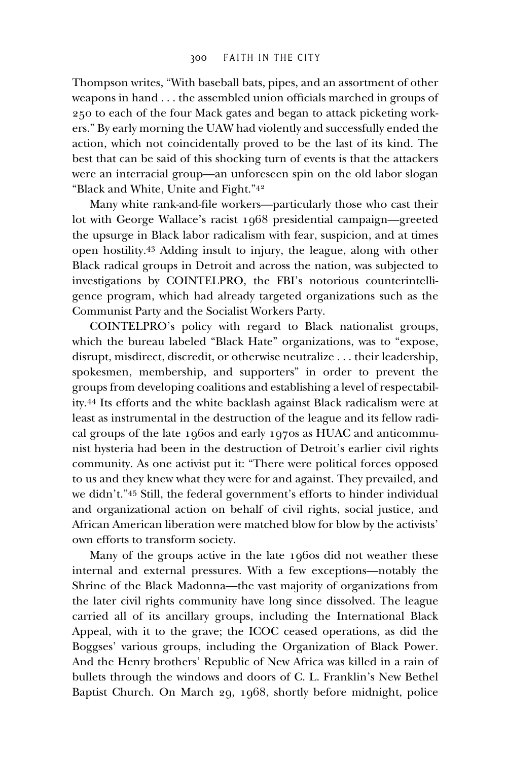Thompson writes, "With baseball bats, pipes, and an assortment of other weapons in hand  $\dots$  the assembled union officials marched in groups of 250 to each of the four Mack gates and began to attack picketing workers." By early morning the UAW had violently and successfully ended the action, which not coincidentally proved to be the last of its kind. The best that can be said of this shocking turn of events is that the attackers were an interracial group—an unforeseen spin on the old labor slogan "Black and White, Unite and Fight."<sup>42</sup>

Many white rank-and-file workers—particularly those who cast their lot with George Wallace's racist 1968 presidential campaign—greeted the upsurge in Black labor radicalism with fear, suspicion, and at times open hostility.<sup>43</sup> Adding insult to injury, the league, along with other Black radical groups in Detroit and across the nation, was subjected to investigations by COINTELPRO, the FBI's notorious counterintelligence program, which had already targeted organizations such as the Communist Party and the Socialist Workers Party.

COINTELPRO's policy with regard to Black nationalist groups, which the bureau labeled "Black Hate" organizations, was to "expose, disrupt, misdirect, discredit, or otherwise neutralize . . . their leadership, spokesmen, membership, and supporters" in order to prevent the groups from developing coalitions and establishing a level of respectability.44 Its efforts and the white backlash against Black radicalism were at least as instrumental in the destruction of the league and its fellow radical groups of the late 1960s and early 1970s as HUAC and anticommunist hysteria had been in the destruction of Detroit's earlier civil rights community. As one activist put it: "There were political forces opposed to us and they knew what they were for and against. They prevailed, and we didn't."<sup>45</sup> Still, the federal government's efforts to hinder individual and organizational action on behalf of civil rights, social justice, and African American liberation were matched blow for blow by the activists' own efforts to transform society.

Many of the groups active in the late 1960s did not weather these internal and external pressures. With a few exceptions—notably the Shrine of the Black Madonna—the vast majority of organizations from the later civil rights community have long since dissolved. The league carried all of its ancillary groups, including the International Black Appeal, with it to the grave; the ICOC ceased operations, as did the Boggses' various groups, including the Organization of Black Power. And the Henry brothers' Republic of New Africa was killed in a rain of bullets through the windows and doors of C. L. Franklin's New Bethel Baptist Church. On March 29, 1968, shortly before midnight, police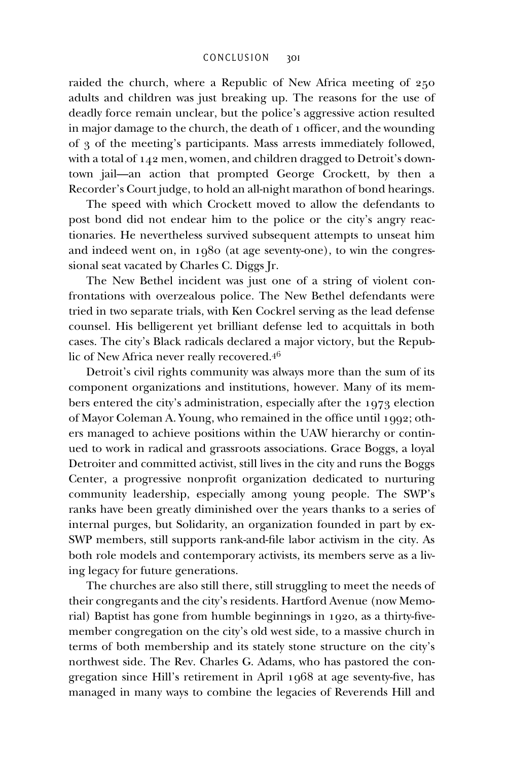raided the church, where a Republic of New Africa meeting of 250 adults and children was just breaking up. The reasons for the use of deadly force remain unclear, but the police's aggressive action resulted in major damage to the church, the death of 1 officer, and the wounding of 3 of the meeting's participants. Mass arrests immediately followed, with a total of 142 men, women, and children dragged to Detroit's downtown jail—an action that prompted George Crockett, by then a Recorder's Court judge, to hold an all-night marathon of bond hearings.

The speed with which Crockett moved to allow the defendants to post bond did not endear him to the police or the city's angry reactionaries. He nevertheless survived subsequent attempts to unseat him and indeed went on, in 1980 (at age seventy-one), to win the congressional seat vacated by Charles C. Diggs Jr.

The New Bethel incident was just one of a string of violent confrontations with overzealous police. The New Bethel defendants were tried in two separate trials, with Ken Cockrel serving as the lead defense counsel. His belligerent yet brilliant defense led to acquittals in both cases. The city's Black radicals declared a major victory, but the Republic of New Africa never really recovered.46

Detroit's civil rights community was always more than the sum of its component organizations and institutions, however. Many of its members entered the city's administration, especially after the 1973 election of Mayor Coleman A. Young, who remained in the office until 1992; others managed to achieve positions within the UAW hierarchy or continued to work in radical and grassroots associations. Grace Boggs, a loyal Detroiter and committed activist, still lives in the city and runs the Boggs Center, a progressive nonprofit organization dedicated to nurturing community leadership, especially among young people. The SWP's ranks have been greatly diminished over the years thanks to a series of internal purges, but Solidarity, an organization founded in part by ex-SWP members, still supports rank-and-file labor activism in the city. As both role models and contemporary activists, its members serve as a living legacy for future generations.

The churches are also still there, still struggling to meet the needs of their congregants and the city's residents. Hartford Avenue (now Memorial) Baptist has gone from humble beginnings in 1920, as a thirty-fivemember congregation on the city's old west side, to a massive church in terms of both membership and its stately stone structure on the city's northwest side. The Rev. Charles G. Adams, who has pastored the congregation since Hill's retirement in April 1968 at age seventy-five, has managed in many ways to combine the legacies of Reverends Hill and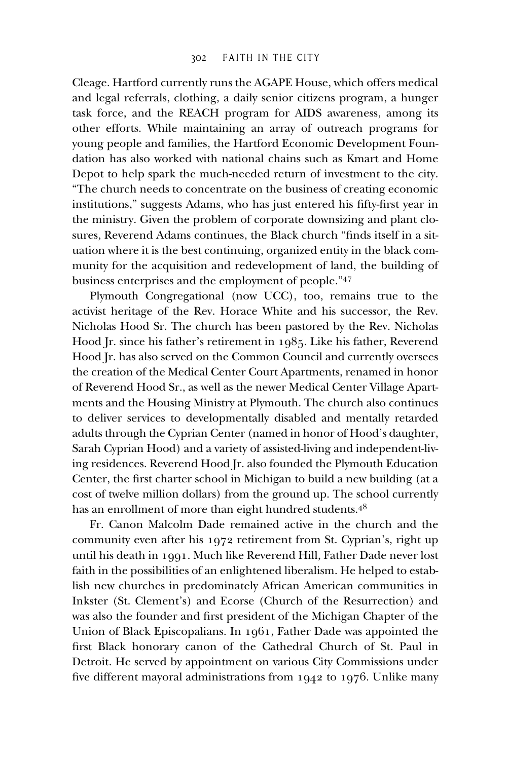Cleage. Hartford currently runs the AGAPE House, which offers medical and legal referrals, clothing, a daily senior citizens program, a hunger task force, and the REACH program for AIDS awareness, among its other efforts. While maintaining an array of outreach programs for young people and families, the Hartford Economic Development Foundation has also worked with national chains such as Kmart and Home Depot to help spark the much-needed return of investment to the city. "The church needs to concentrate on the business of creating economic institutions," suggests Adams, who has just entered his fifty-first year in the ministry. Given the problem of corporate downsizing and plant closures, Reverend Adams continues, the Black church "finds itself in a situation where it is the best continuing, organized entity in the black community for the acquisition and redevelopment of land, the building of business enterprises and the employment of people."47

Plymouth Congregational (now UCC), too, remains true to the activist heritage of the Rev. Horace White and his successor, the Rev. Nicholas Hood Sr. The church has been pastored by the Rev. Nicholas Hood Jr. since his father's retirement in 1985. Like his father, Reverend Hood Jr. has also served on the Common Council and currently oversees the creation of the Medical Center Court Apartments, renamed in honor of Reverend Hood Sr., as well as the newer Medical Center Village Apartments and the Housing Ministry at Plymouth. The church also continues to deliver services to developmentally disabled and mentally retarded adults through the Cyprian Center (named in honor of Hood's daughter, Sarah Cyprian Hood) and a variety of assisted-living and independent-living residences. Reverend Hood Jr. also founded the Plymouth Education Center, the first charter school in Michigan to build a new building (at a cost of twelve million dollars) from the ground up. The school currently has an enrollment of more than eight hundred students.<sup>48</sup>

Fr. Canon Malcolm Dade remained active in the church and the community even after his 1972 retirement from St. Cyprian's, right up until his death in 1991. Much like Reverend Hill, Father Dade never lost faith in the possibilities of an enlightened liberalism. He helped to establish new churches in predominately African American communities in Inkster (St. Clement's) and Ecorse (Church of the Resurrection) and was also the founder and first president of the Michigan Chapter of the Union of Black Episcopalians. In 1961, Father Dade was appointed the first Black honorary canon of the Cathedral Church of St. Paul in Detroit. He served by appointment on various City Commissions under five different mayoral administrations from 1942 to 1976. Unlike many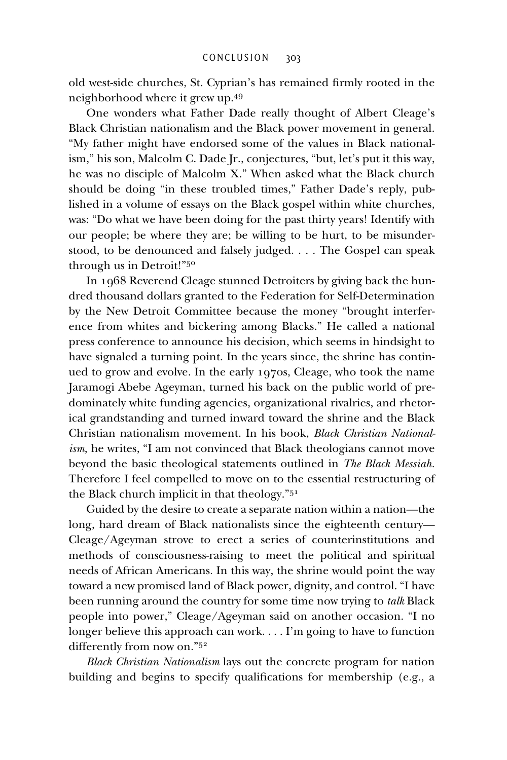old west-side churches, St. Cyprian's has remained firmly rooted in the neighborhood where it grew up.<sup>49</sup>

One wonders what Father Dade really thought of Albert Cleage's Black Christian nationalism and the Black power movement in general. "My father might have endorsed some of the values in Black nationalism," his son, Malcolm C. Dade Jr., conjectures, "but, let's put it this way, he was no disciple of Malcolm X." When asked what the Black church should be doing "in these troubled times," Father Dade's reply, published in a volume of essays on the Black gospel within white churches, was: "Do what we have been doing for the past thirty years! Identify with our people; be where they are; be willing to be hurt, to be misunderstood, to be denounced and falsely judged. . . . The Gospel can speak through us in Detroit!"<sup>50</sup>

In 1968 Reverend Cleage stunned Detroiters by giving back the hundred thousand dollars granted to the Federation for Self-Determination by the New Detroit Committee because the money "brought interference from whites and bickering among Blacks." He called a national press conference to announce his decision, which seems in hindsight to have signaled a turning point. In the years since, the shrine has continued to grow and evolve. In the early 1970s, Cleage, who took the name Jaramogi Abebe Ageyman, turned his back on the public world of predominately white funding agencies, organizational rivalries, and rhetorical grandstanding and turned inward toward the shrine and the Black Christian nationalism movement. In his book, *Black Christian Nationalism,* he writes, "I am not convinced that Black theologians cannot move beyond the basic theological statements outlined in *The Black Messiah.* Therefore I feel compelled to move on to the essential restructuring of the Black church implicit in that theology."<sup>51</sup>

Guided by the desire to create a separate nation within a nation—the long, hard dream of Black nationalists since the eighteenth century— Cleage/Ageyman strove to erect a series of counterinstitutions and methods of consciousness-raising to meet the political and spiritual needs of African Americans. In this way, the shrine would point the way toward a new promised land of Black power, dignity, and control. "I have been running around the country for some time now trying to *talk* Black people into power," Cleage/Ageyman said on another occasion. "I no longer believe this approach can work. . . . I'm going to have to function differently from now on."<sup>52</sup>

*Black Christian Nationalism* lays out the concrete program for nation building and begins to specify qualifications for membership (e.g., a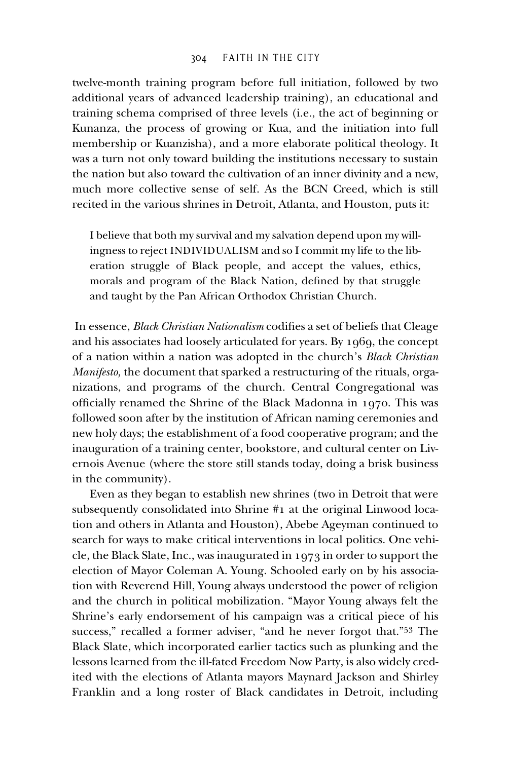twelve-month training program before full initiation, followed by two additional years of advanced leadership training), an educational and training schema comprised of three levels (i.e., the act of beginning or Kunanza, the process of growing or Kua, and the initiation into full membership or Kuanzisha), and a more elaborate political theology. It was a turn not only toward building the institutions necessary to sustain the nation but also toward the cultivation of an inner divinity and a new, much more collective sense of self. As the BCN Creed, which is still recited in the various shrines in Detroit, Atlanta, and Houston, puts it:

I believe that both my survival and my salvation depend upon my willingness to reject INDIVIDUALISM and so I commit my life to the liberation struggle of Black people, and accept the values, ethics, morals and program of the Black Nation, defined by that struggle and taught by the Pan African Orthodox Christian Church.

In essence, *Black Christian Nationalism* codifies a set of beliefs that Cleage and his associates had loosely articulated for years. By 1969, the concept of a nation within a nation was adopted in the church's *Black Christian Manifesto*, the document that sparked a restructuring of the rituals, organizations, and programs of the church. Central Congregational was officially renamed the Shrine of the Black Madonna in 1970. This was followed soon after by the institution of African naming ceremonies and new holy days; the establishment of a food cooperative program; and the inauguration of a training center, bookstore, and cultural center on Livernois Avenue (where the store still stands today, doing a brisk business in the community).

Even as they began to establish new shrines (two in Detroit that were subsequently consolidated into Shrine #1 at the original Linwood location and others in Atlanta and Houston), Abebe Ageyman continued to search for ways to make critical interventions in local politics. One vehicle, the Black Slate, Inc., was inaugurated in 1973 in order to support the election of Mayor Coleman A. Young. Schooled early on by his association with Reverend Hill, Young always understood the power of religion and the church in political mobilization. "Mayor Young always felt the Shrine's early endorsement of his campaign was a critical piece of his success," recalled a former adviser, "and he never forgot that."53 The Black Slate, which incorporated earlier tactics such as plunking and the lessons learned from the ill-fated Freedom Now Party, is also widely credited with the elections of Atlanta mayors Maynard Jackson and Shirley Franklin and a long roster of Black candidates in Detroit, including